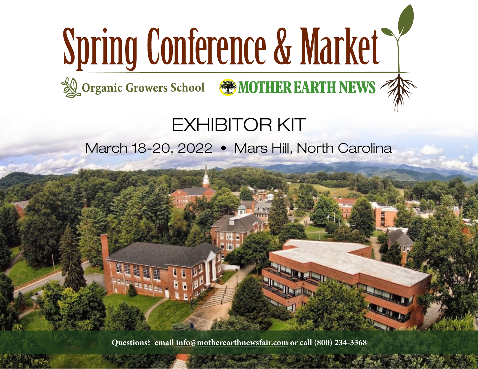# Spring Conference & Market

**LOrganic Growers School & MOTHER EARTH NEWS** 

EXHIBITOR KIT

March 18-20, 2022 • Mars Hill, North Carolina

**Questions? email [info@motherearthnewsfair.com](mailto:info%40motherearthnewsfair.com?subject=) or call (800) 234-3368**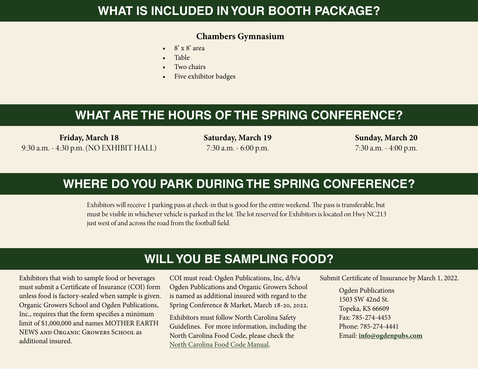### **WHAT IS INCLUDED IN YOUR BOOTH PACKAGE?**

#### **Chambers Gymnasium**

- $\bullet$  8' x 8' area
- Table
- Two chairs
- Five exhibitor badges

## **WHAT ARE THE HOURS OF THE SPRING CONFERENCE?**

**Friday, March 18** 9:30 a.m. - 4:30 p.m. (NO EXHIBIT HALL) **Saturday, March 19** 7:30 a.m. - 6:00 p.m.

**Sunday, March 20** 7:30 a.m. - 4:00 p.m.

## **WHERE DO YOU PARK DURING THE SPRING CONFERENCE?**

Exhibitors will receive 1 parking pass at check-in that is good for the entire weekend. The pass is transferable, but must be visible in whichever vehicle is parked in the lot. The lot reserved for Exhibitors is located on Hwy NC213 just west of and across the road from the football field.

## **WILL YOU BE SAMPLING FOOD?**

Exhibitors that wish to sample food or beverages must submit a Certificate of Insurance (COI) form unless food is factory-sealed when sample is given. Organic Growers School and Ogden Publications, Inc., requires that the form specifies a minimum limit of \$1,000,000 and names MOTHER EARTH NEWS and Organic Growers School as additional insured.

COI must read: Ogden Publications, Inc, d/b/a Ogden Publications and Organic Growers School is named as additional insured with regard to the Spring Conference & Market, March 18-20, 2022.

Exhibitors must follow North Carolina Safety Guidelines. For more information, including the North Carolina Food Code, please check the [North Carolina Food Code Manual](https://ehs.ncpublichealth.com/faf/docs/foodprot/NC-FoodCodeManual-2009-FINAL.pdf
).

Submit Certificate of Insurance by March 1, 2022.

Ogden Publications 1503 SW 42nd St. Topeka, KS 66609 Fax: 785-274-4453 Phone: 785-274-4441 Email: **[info@ogdenpubs.com](mailto:info@ogdenpubs.com)**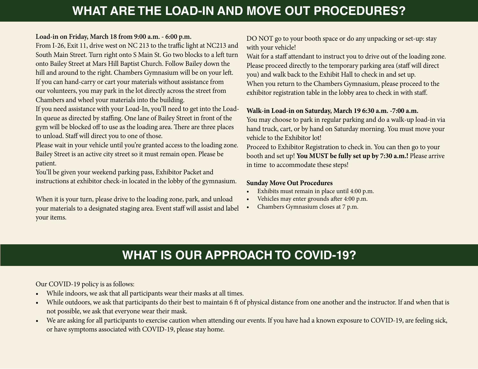## **WHAT ARE THE LOAD-IN AND MOVE OUT PROCEDURES?**

#### **Load-in on Friday, March 18 from 9:00 a.m. - 6:00 p.m.**

From I-26, Exit 11, drive west on NC 213 to the traffic light at NC213 and South Main Street. Turn right onto S Main St. Go two blocks to a left turn onto Bailey Street at Mars Hill Baptist Church. Follow Bailey down the hill and around to the right. Chambers Gymnasium will be on your left. If you can hand-carry or cart your materials without assistance from our volunteers, you may park in the lot directly across the street from Chambers and wheel your materials into the building.

If you need assistance with your Load-In, you'll need to get into the Load-In queue as directed by staffing. One lane of Bailey Street in front of the gym will be blocked off to use as the loading area. There are three places to unload. Staff will direct you to one of those.

Please wait in your vehicle until you're granted access to the loading zone. Bailey Street is an active city street so it must remain open. Please be patient.

You'll be given your weekend parking pass, Exhibitor Packet and instructions at exhibitor check-in located in the lobby of the gymnasium.

When it is your turn, please drive to the loading zone, park, and unload your materials to a designated staging area. Event staff will assist and label your items.

DO NOT go to your booth space or do any unpacking or set-up: stay with your vehicle!

Wait for a staff attendant to instruct you to drive out of the loading zone. Please proceed directly to the temporary parking area (staff will direct you) and walk back to the Exhibit Hall to check in and set up. When you return to the Chambers Gymnasium, please proceed to the exhibitor registration table in the lobby area to check in with staff.

#### **Walk-in Load-in on Saturday, March 19 6:30 a.m. -7:00 a.m.**

You may choose to park in regular parking and do a walk-up load-in via hand truck, cart, or by hand on Saturday morning. You must move your vehicle to the Exhibitor lot!

Proceed to Exhibitor Registration to check in. You can then go to your booth and set up! **You MUST be fully set up by 7:30 a.m.!** Please arrive in time to accommodate these steps!

#### **Sunday Move Out Procedures**

- Exhibits must remain in place until 4:00 p.m.
- Vehicles may enter grounds after 4:00 p.m.
- Chambers Gymnasium closes at 7 p.m.

## **WHAT IS OUR APPROACH TO COVID-19?**

Our COVID-19 policy is as follows:

- While indoors, we ask that all participants wear their masks at all times.
- While outdoors, we ask that participants do their best to maintain 6 ft of physical distance from one another and the instructor. If and when that is not possible, we ask that everyone wear their mask.
- We are asking for all participants to exercise caution when attending our events. If you have had a known exposure to COVID-19, are feeling sick, or have symptoms associated with COVID-19, please stay home.